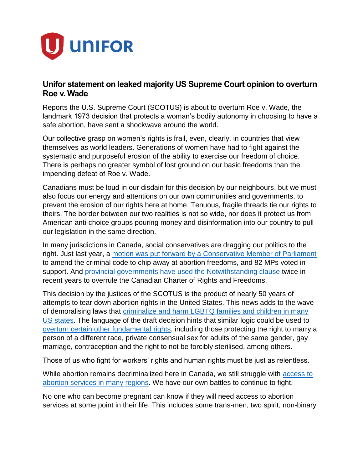

## **Unifor statement on leaked majority US Supreme Court opinion to overturn Roe v. Wade**

Reports the U.S. Supreme Court (SCOTUS) is about to overturn Roe v. Wade, the landmark 1973 decision that protects a woman's bodily autonomy in choosing to have a safe abortion, have sent a shockwave around the world.

Our collective grasp on women's rights is frail, even, clearly, in countries that view themselves as world leaders. Generations of women have had to fight against the systematic and purposeful erosion of the ability to exercise our freedom of choice. There is perhaps no greater symbol of lost ground on our basic freedoms than the impending defeat of Roe v. Wade.

Canadians must be loud in our disdain for this decision by our neighbours, but we must also focus our energy and attentions on our own communities and governments, to prevent the erosion of our rights here at home. Tenuous, fragile threads tie our rights to theirs. The border between our two realities is not so wide, nor does it protect us from American anti-choice groups pouring money and disinformation into our country to pull our legislation in the same direction.

In many jurisdictions in Canada, social conservatives are dragging our politics to the right. Just last year, a [motion was put forward by a Conservative Member of Parliament](https://www.ourcommons.ca/members/en/votes/43/2/125) to amend the criminal code to chip away at abortion freedoms, and 82 MPs voted in support. And [provincial governments have used the Notwithstanding clause](https://www.unifor.org/news/all-news/fords-scheme-invoke-notwithstanding-clause-reveals-depths-his-fear-and-desperation) twice in recent years to overrule the Canadian Charter of Rights and Freedoms.

This decision by the justices of the SCOTUS is the product of nearly 50 years of attempts to tear down abortion rights in the United States. This news adds to the wave of demoralising laws that [criminalize and harm LGBTQ families and children in many](https://www.unifor.org/news/all-news/trans-day-visibility-2022)  [US states.](https://www.unifor.org/news/all-news/trans-day-visibility-2022) The language of the draft decision hints that similar logic could be used to [overturn certain other fundamental rights,](https://www.pbs.org/newshour/nation/some-fear-ripple-effect-on-civil-rights-cases-if-roe-is-overturned) including those protecting the right to marry a person of a different race, private consensual sex for adults of the same gender, gay marriage, contraception and the right to not be forcibly sterilised, among others.

Those of us who fight for workers' rights and human rights must be just as relentless.

While abortion remains decriminalized here in Canada, we still struggle with access to [abortion services in many regions.](https://www.unifor.org/news/all-news/unifor-calls-closure-clinic-554-higgs-failure-protect-new-brunswickers) We have our own battles to continue to fight.

No one who can become pregnant can know if they will need access to abortion services at some point in their life. This includes some trans-men, two spirit, non-binary